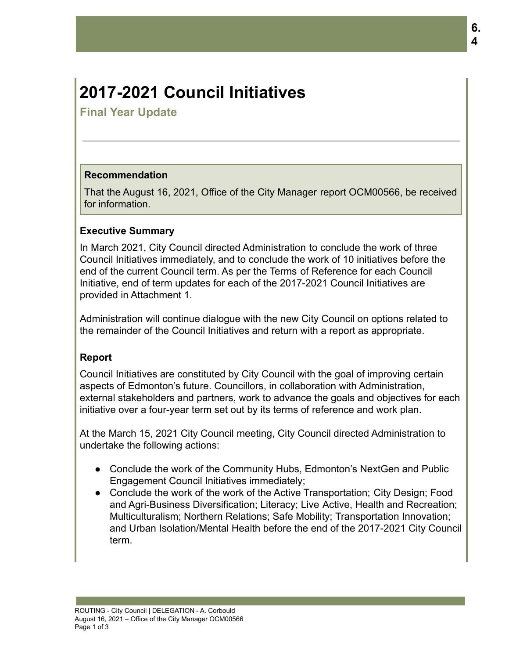# **2017-2021 Council Initiatives**

**Final Year Update**

# **Recommendation**

That the August 16, 2021, Office of the City Manager report OCM00566, be received for information.

#### **Executive Summary**

In March 2021, City Council directed Administration to conclude the work of three Council Initiatives immediately, and to conclude the work of 10 initiatives before the end of the current Council term. As per the Terms of Reference for each Council Initiative, end of term updates for each of the 2017-2021 Council Initiatives are provided in Attachment 1.

Administration will continue dialogue with the new City Council on options related to the remainder of the Council Initiatives and return with a report as appropriate.

# **Report**

Council Initiatives are constituted by City Council with the goal of improving certain aspects of Edmonton's future. Councillors, in collaboration with Administration, external stakeholders and partners, work to advance the goals and objectives for each initiative over a four-year term set out by its terms of reference and work plan.

At the March 15, 2021 City Council meeting, City Council directed Administration to undertake the following actions:

- Conclude the work of the Community Hubs, Edmonton's NextGen and Public Engagement Council Initiatives immediately;
- Conclude the work of the work of the Active Transportation; City Design; Food and Agri-Business Diversification; Literacy; Live Active, Health and Recreation; Multiculturalism; Northern Relations; Safe Mobility; Transportation Innovation; and Urban Isolation/Mental Health before the end of the 2017-2021 City Council term.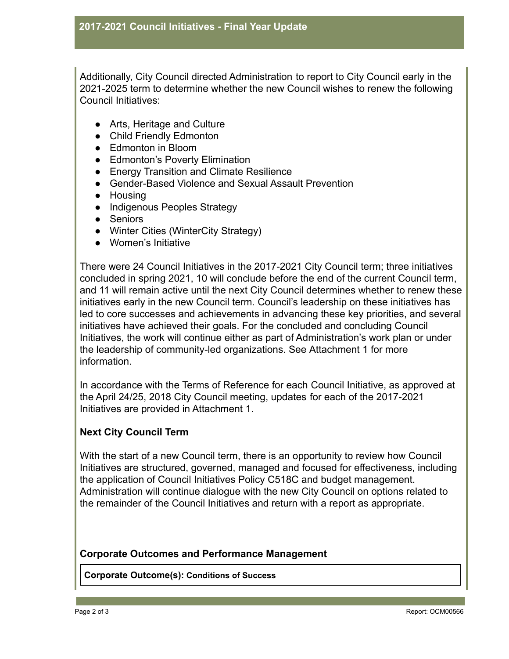Additionally, City Council directed Administration to report to City Council early in the 2021-2025 term to determine whether the new Council wishes to renew the following Council Initiatives:

- Arts, Heritage and Culture
- Child Friendly Edmonton
- Edmonton in Bloom
- Edmonton's Poverty Elimination
- Energy Transition and Climate Resilience
- Gender-Based Violence and Sexual Assault Prevention
- Housing
- Indigenous Peoples Strategy
- Seniors
- Winter Cities (WinterCity Strategy)
- Women's Initiative

There were 24 Council Initiatives in the 2017-2021 City Council term; three initiatives concluded in spring 2021, 10 will conclude before the end of the current Council term, and 11 will remain active until the next City Council determines whether to renew these initiatives early in the new Council term. Council's leadership on these initiatives has led to core successes and achievements in advancing these key priorities, and several initiatives have achieved their goals. For the concluded and concluding Council Initiatives, the work will continue either as part of Administration's work plan or under the leadership of community-led organizations. See Attachment 1 for more information.

In accordance with the Terms of Reference for each Council Initiative, as approved at the April 24/25, 2018 City Council meeting, updates for each of the 2017-2021 Initiatives are provided in Attachment 1.

# **Next City Council Term**

With the start of a new Council term, there is an opportunity to review how Council Initiatives are structured, governed, managed and focused for effectiveness, including the application of Council Initiatives Policy C518C and budget management. Administration will continue dialogue with the new City Council on options related to the remainder of the Council Initiatives and return with a report as appropriate.

#### **Corporate Outcomes and Performance Management**

**Corporate Outcome(s): Conditions of Success**